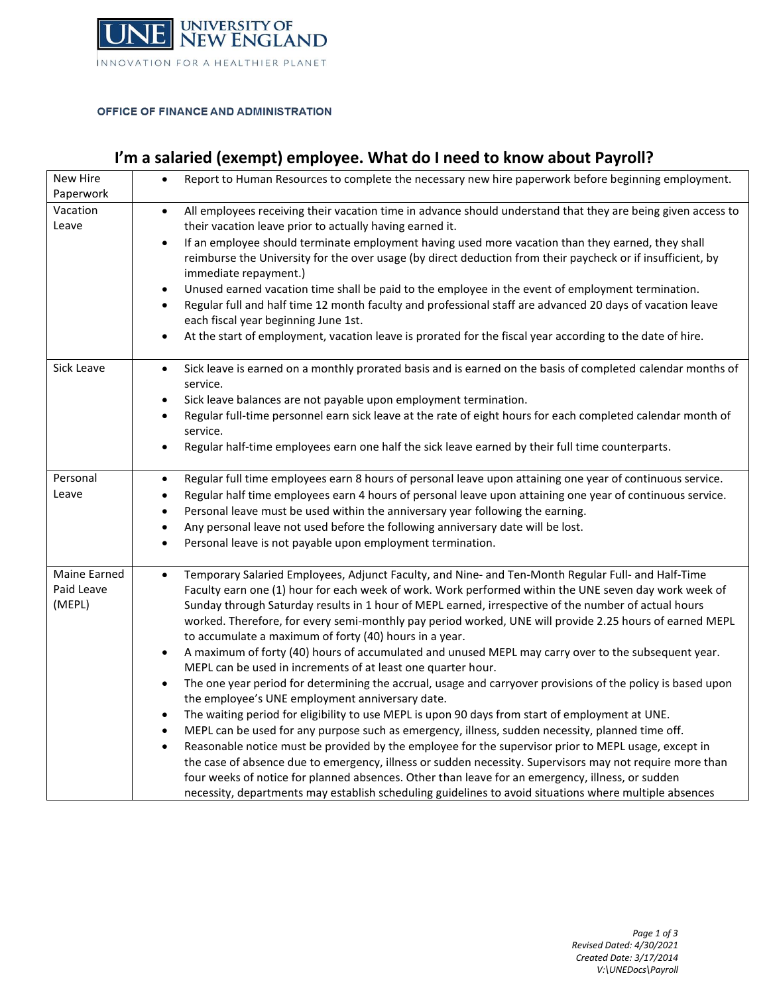

#### OFFICE OF FINANCE AND ADMINISTRATION

# **I'm a salaried (exempt) employee. What do I need to know about Payroll?**

| New Hire<br>Paperwork                | Report to Human Resources to complete the necessary new hire paperwork before beginning employment.<br>$\bullet$                                                                                                                                                                                                                                                                                                                                                                                                                                                                                                                                                                                                                                                                                                                                                                                                                                                                                                                                                                                                                                                                                                                                                                                                                                                                                                                                                                                                                                         |
|--------------------------------------|----------------------------------------------------------------------------------------------------------------------------------------------------------------------------------------------------------------------------------------------------------------------------------------------------------------------------------------------------------------------------------------------------------------------------------------------------------------------------------------------------------------------------------------------------------------------------------------------------------------------------------------------------------------------------------------------------------------------------------------------------------------------------------------------------------------------------------------------------------------------------------------------------------------------------------------------------------------------------------------------------------------------------------------------------------------------------------------------------------------------------------------------------------------------------------------------------------------------------------------------------------------------------------------------------------------------------------------------------------------------------------------------------------------------------------------------------------------------------------------------------------------------------------------------------------|
| Vacation<br>Leave                    | All employees receiving their vacation time in advance should understand that they are being given access to<br>$\bullet$<br>their vacation leave prior to actually having earned it.<br>If an employee should terminate employment having used more vacation than they earned, they shall<br>$\bullet$<br>reimburse the University for the over usage (by direct deduction from their paycheck or if insufficient, by<br>immediate repayment.)<br>Unused earned vacation time shall be paid to the employee in the event of employment termination.<br>$\bullet$<br>Regular full and half time 12 month faculty and professional staff are advanced 20 days of vacation leave<br>$\bullet$<br>each fiscal year beginning June 1st.<br>At the start of employment, vacation leave is prorated for the fiscal year according to the date of hire.<br>$\bullet$                                                                                                                                                                                                                                                                                                                                                                                                                                                                                                                                                                                                                                                                                            |
| Sick Leave                           | Sick leave is earned on a monthly prorated basis and is earned on the basis of completed calendar months of<br>$\bullet$<br>service.<br>Sick leave balances are not payable upon employment termination.<br>$\bullet$<br>Regular full-time personnel earn sick leave at the rate of eight hours for each completed calendar month of<br>$\bullet$<br>service.<br>Regular half-time employees earn one half the sick leave earned by their full time counterparts.<br>$\bullet$                                                                                                                                                                                                                                                                                                                                                                                                                                                                                                                                                                                                                                                                                                                                                                                                                                                                                                                                                                                                                                                                           |
| Personal<br>Leave                    | Regular full time employees earn 8 hours of personal leave upon attaining one year of continuous service.<br>$\bullet$<br>Regular half time employees earn 4 hours of personal leave upon attaining one year of continuous service.<br>$\bullet$<br>Personal leave must be used within the anniversary year following the earning.<br>Any personal leave not used before the following anniversary date will be lost.<br>$\bullet$<br>Personal leave is not payable upon employment termination.                                                                                                                                                                                                                                                                                                                                                                                                                                                                                                                                                                                                                                                                                                                                                                                                                                                                                                                                                                                                                                                         |
| Maine Earned<br>Paid Leave<br>(MEPL) | Temporary Salaried Employees, Adjunct Faculty, and Nine- and Ten-Month Regular Full- and Half-Time<br>$\bullet$<br>Faculty earn one (1) hour for each week of work. Work performed within the UNE seven day work week of<br>Sunday through Saturday results in 1 hour of MEPL earned, irrespective of the number of actual hours<br>worked. Therefore, for every semi-monthly pay period worked, UNE will provide 2.25 hours of earned MEPL<br>to accumulate a maximum of forty (40) hours in a year.<br>A maximum of forty (40) hours of accumulated and unused MEPL may carry over to the subsequent year.<br>$\bullet$<br>MEPL can be used in increments of at least one quarter hour.<br>The one year period for determining the accrual, usage and carryover provisions of the policy is based upon<br>$\bullet$<br>the employee's UNE employment anniversary date.<br>The waiting period for eligibility to use MEPL is upon 90 days from start of employment at UNE.<br>$\bullet$<br>MEPL can be used for any purpose such as emergency, illness, sudden necessity, planned time off.<br>$\bullet$<br>Reasonable notice must be provided by the employee for the supervisor prior to MEPL usage, except in<br>$\bullet$<br>the case of absence due to emergency, illness or sudden necessity. Supervisors may not require more than<br>four weeks of notice for planned absences. Other than leave for an emergency, illness, or sudden<br>necessity, departments may establish scheduling guidelines to avoid situations where multiple absences |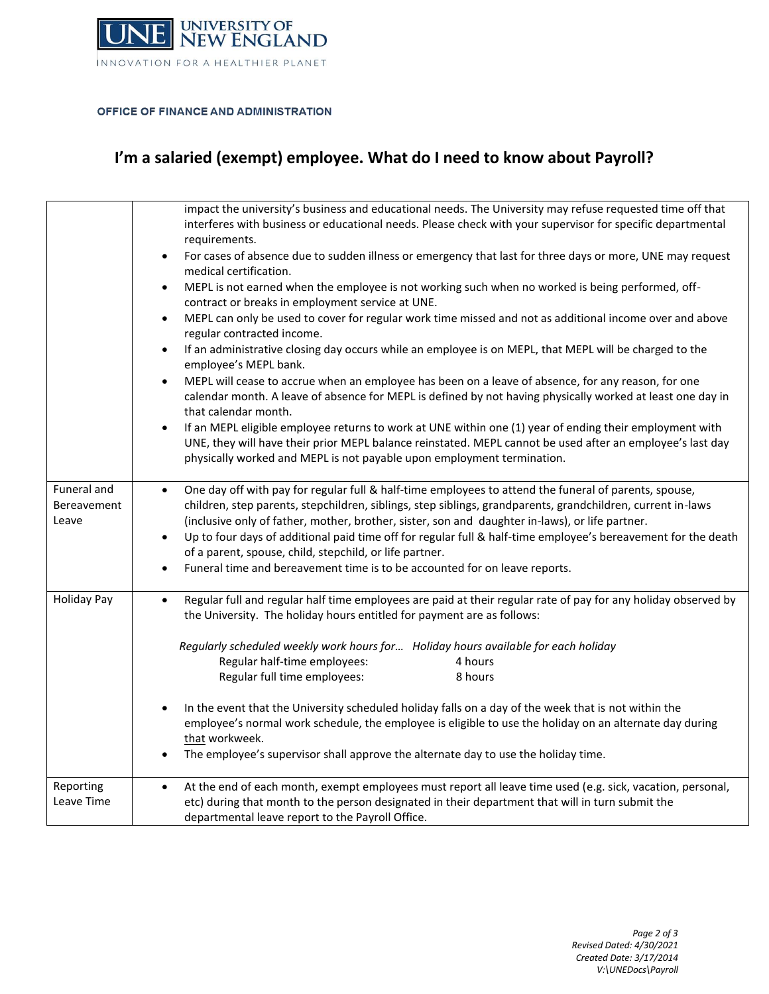

### OFFICE OF FINANCE AND ADMINISTRATION

# **I'm a salaried (exempt) employee. What do I need to know about Payroll?**

|                                     | impact the university's business and educational needs. The University may refuse requested time off that<br>interferes with business or educational needs. Please check with your supervisor for specific departmental<br>requirements.<br>For cases of absence due to sudden illness or emergency that last for three days or more, UNE may request<br>$\bullet$<br>medical certification.<br>MEPL is not earned when the employee is not working such when no worked is being performed, off-<br>$\bullet$<br>contract or breaks in employment service at UNE.<br>MEPL can only be used to cover for regular work time missed and not as additional income over and above<br>$\bullet$<br>regular contracted income.<br>If an administrative closing day occurs while an employee is on MEPL, that MEPL will be charged to the<br>$\bullet$<br>employee's MEPL bank.<br>MEPL will cease to accrue when an employee has been on a leave of absence, for any reason, for one<br>$\bullet$<br>calendar month. A leave of absence for MEPL is defined by not having physically worked at least one day in<br>that calendar month.<br>If an MEPL eligible employee returns to work at UNE within one (1) year of ending their employment with<br>$\bullet$<br>UNE, they will have their prior MEPL balance reinstated. MEPL cannot be used after an employee's last day<br>physically worked and MEPL is not payable upon employment termination. |
|-------------------------------------|-------------------------------------------------------------------------------------------------------------------------------------------------------------------------------------------------------------------------------------------------------------------------------------------------------------------------------------------------------------------------------------------------------------------------------------------------------------------------------------------------------------------------------------------------------------------------------------------------------------------------------------------------------------------------------------------------------------------------------------------------------------------------------------------------------------------------------------------------------------------------------------------------------------------------------------------------------------------------------------------------------------------------------------------------------------------------------------------------------------------------------------------------------------------------------------------------------------------------------------------------------------------------------------------------------------------------------------------------------------------------------------------------------------------------------------------------|
| Funeral and<br>Bereavement<br>Leave | One day off with pay for regular full & half-time employees to attend the funeral of parents, spouse,<br>$\bullet$<br>children, step parents, stepchildren, siblings, step siblings, grandparents, grandchildren, current in-laws<br>(inclusive only of father, mother, brother, sister, son and daughter in-laws), or life partner.<br>Up to four days of additional paid time off for regular full & half-time employee's bereavement for the death<br>$\bullet$<br>of a parent, spouse, child, stepchild, or life partner.<br>Funeral time and bereavement time is to be accounted for on leave reports.                                                                                                                                                                                                                                                                                                                                                                                                                                                                                                                                                                                                                                                                                                                                                                                                                                     |
| <b>Holiday Pay</b>                  | Regular full and regular half time employees are paid at their regular rate of pay for any holiday observed by<br>$\bullet$<br>the University. The holiday hours entitled for payment are as follows:<br>Regularly scheduled weekly work hours for Holiday hours available for each holiday<br>Regular half-time employees:<br>4 hours<br>8 hours<br>Regular full time employees:<br>In the event that the University scheduled holiday falls on a day of the week that is not within the<br>$\bullet$<br>employee's normal work schedule, the employee is eligible to use the holiday on an alternate day during<br>that workweek.<br>The employee's supervisor shall approve the alternate day to use the holiday time.                                                                                                                                                                                                                                                                                                                                                                                                                                                                                                                                                                                                                                                                                                                       |
| Reporting<br>Leave Time             | At the end of each month, exempt employees must report all leave time used (e.g. sick, vacation, personal,<br>$\bullet$<br>etc) during that month to the person designated in their department that will in turn submit the<br>departmental leave report to the Payroll Office.                                                                                                                                                                                                                                                                                                                                                                                                                                                                                                                                                                                                                                                                                                                                                                                                                                                                                                                                                                                                                                                                                                                                                                 |